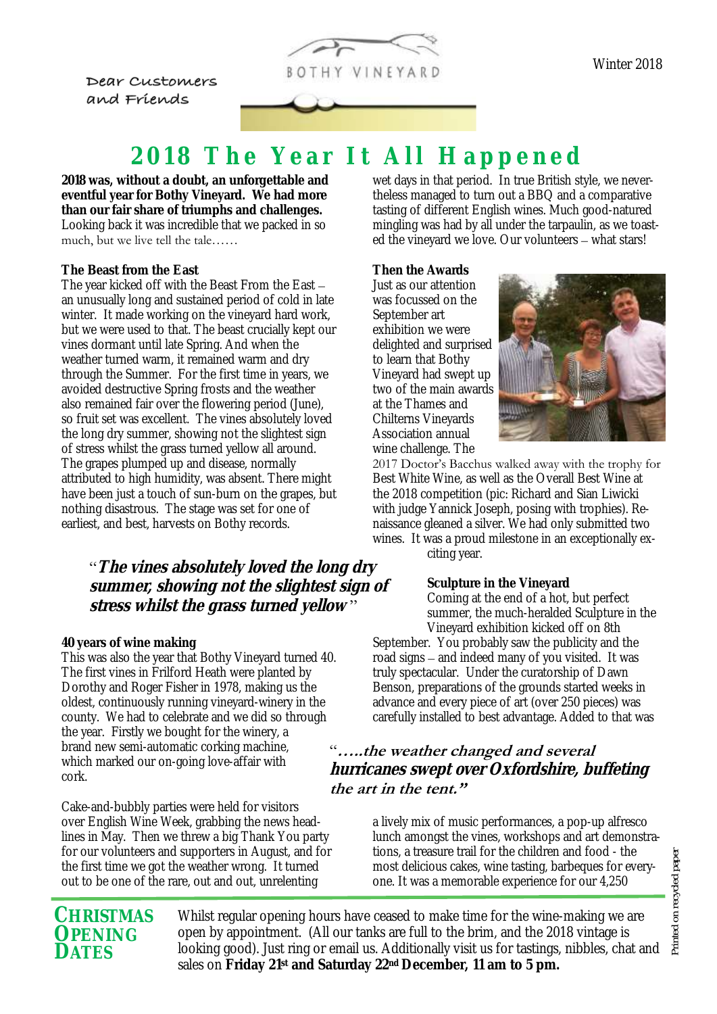

Dear Customers and Friends

Winter 2018

# 2018 The Year It All Happened

**2018 was, without a doubt, an unforgettable and eventful year for Bothy Vineyard. We had more than our fair share of triumphs and challenges.**  Looking back it was incredible that we packed in so much, but we live tell the tale……

## **The Beast from the East**

The year kicked off with the Beast From the East – an unusually long and sustained period of cold in late winter. It made working on the vineyard hard work, but we were used to that. The beast crucially kept our vines dormant until late Spring. And when the weather turned warm, it remained warm and dry through the Summer. For the first time in years, we avoided destructive Spring frosts and the weather also remained fair over the flowering period (June), so fruit set was excellent. The vines absolutely loved the long dry summer, showing not the slightest sign of stress whilst the grass turned yellow all around. The grapes plumped up and disease, normally attributed to high humidity, was absent. There might have been just a touch of sun-burn on the grapes, but nothing disastrous. The stage was set for one of earliest, and best, harvests on Bothy records.

"**The vines absolutely loved the long dry summer, showing not the slightest sign of stress whilst the grass turned yellow** "

### **40 years of wine making**

This was also the year that Bothy Vineyard turned 40. The first vines in Frilford Heath were planted by Dorothy and Roger Fisher in 1978, making us the oldest, continuously running vineyard-winery in the county. We had to celebrate and we did so through the year. Firstly we bought for the winery, a brand new semi-automatic corking machine, which marked our on-going love-affair with cork.

Cake-and-bubbly parties were held for visitors over English Wine Week, grabbing the news headlines in May. Then we threw a big Thank You party for our volunteers and supporters in August, and for the first time we got the weather wrong. It turned out to be one of the rare, out and out, unrelenting

wet days in that period. In true British style, we nevertheless managed to turn out a BBQ and a comparative tasting of different English wines. Much good-natured mingling was had by all under the tarpaulin, as we toasted the vineyard we love. Our volunteers – what stars!

**Then the Awards** Just as our attention was focussed on the September art exhibition we were delighted and surprised to learn that Bothy Vineyard had swept up two of the main awards at the Thames and Chilterns Vineyards Association annual wine challenge. The



2017 Doctor's Bacchus walked away with the trophy for Best White Wine, as well as the Overall Best Wine at the 2018 competition (pic: Richard and Sian Liwicki with judge Yannick Joseph, posing with trophies). Renaissance gleaned a silver. We had only submitted two wines. It was a proud milestone in an exceptionally exciting year.

> **Sculpture in the Vineyard** Coming at the end of a hot, but perfect summer, the much-heralded Sculpture in the Vineyard exhibition kicked off on 8th

September. You probably saw the publicity and the road signs – and indeed many of you visited. It was truly spectacular. Under the curatorship of Dawn Benson, preparations of the grounds started weeks in advance and every piece of art (over 250 pieces) was carefully installed to best advantage. Added to that was

## "**…..the weather changed and several hurricanes swept over Oxfordshire, buffeting the art in the tent."**

a lively mix of music performances, a pop-up alfresco lunch amongst the vines, workshops and art demonstrations, a treasure trail for the children and food - the most delicious cakes, wine tasting, barbeques for everyone. It was a memorable experience for our 4,250

# Printed on recycled paper Printed on recycled paper

## **CHRISTMAS OPENING DATES**

Whilst regular opening hours have ceased to make time for the wine-making we are open by appointment. (All our tanks are full to the brim, and the 2018 vintage is looking good). Just ring or email us. Additionally visit us for tastings, nibbles, chat and sales on **Friday 21st and Saturday 22nd December, 11 am to 5 pm.**